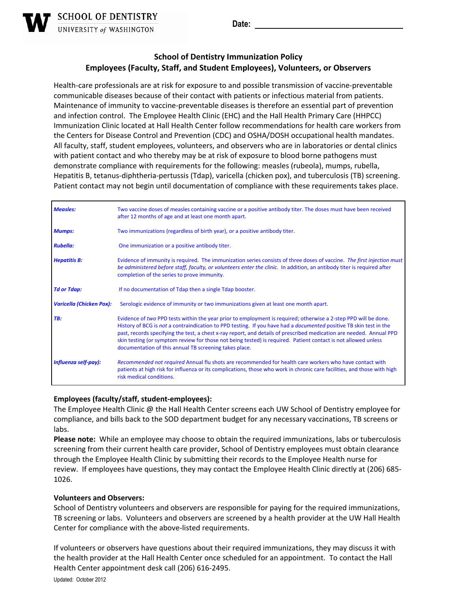**Date:** 

## **School of Dentistry Immunization Policy Employees (Faculty, Staff, and Student Employees), Volunteers, or Observers**

Health-care professionals are at risk for exposure to and possible transmission of vaccine-preventable communicable diseases because of their contact with patients or infectious material from patients. Maintenance of immunity to vaccine‐preventable diseases is therefore an essential part of prevention and infection control. The Employee Health Clinic (EHC) and the Hall Health Primary Care (HHPCC) Immunization Clinic located at Hall Health Center follow recommendations for health care workers from the Centers for Disease Control and Prevention (CDC) and OSHA/DOSH occupational health mandates. All faculty, staff, student employees, volunteers, and observers who are in laboratories or dental clinics with patient contact and who thereby may be at risk of exposure to blood borne pathogens must demonstrate compliance with requirements for the following: measles (rubeola), mumps, rubella, Hepatitis B, tetanus‐diphtheria‐pertussis (Tdap), varicella (chicken pox), and tuberculosis (TB) screening. Patient contact may not begin until documentation of compliance with these requirements takes place.

| <b>Measles:</b>                 | Two vaccine doses of measles containing vaccine or a positive antibody titer. The doses must have been received<br>after 12 months of age and at least one month apart.                                                                                                                                                                                                                                                                                                                                                                          |
|---------------------------------|--------------------------------------------------------------------------------------------------------------------------------------------------------------------------------------------------------------------------------------------------------------------------------------------------------------------------------------------------------------------------------------------------------------------------------------------------------------------------------------------------------------------------------------------------|
| <b>Mumps:</b>                   | Two immunizations (regardless of birth year), or a positive antibody titer.                                                                                                                                                                                                                                                                                                                                                                                                                                                                      |
| <b>Rubella:</b>                 | One immunization or a positive antibody titer.                                                                                                                                                                                                                                                                                                                                                                                                                                                                                                   |
| <b>Hepatitis B:</b>             | Evidence of immunity is required. The immunization series consists of three doses of vaccine. The first injection must<br>be administered before staff, faculty, or volunteers enter the clinic. In addition, an antibody titer is required after<br>completion of the series to prove immunity.                                                                                                                                                                                                                                                 |
| <b>Td or Tdap:</b>              | If no documentation of Tdap then a single Tdap booster.                                                                                                                                                                                                                                                                                                                                                                                                                                                                                          |
| <b>Varicella (Chicken Pox):</b> | Serologic evidence of immunity or two immunizations given at least one month apart.                                                                                                                                                                                                                                                                                                                                                                                                                                                              |
| TB:                             | Evidence of two PPD tests within the year prior to employment is required; otherwise a 2-step PPD will be done.<br>History of BCG is not a contraindication to PPD testing. If you have had a <i>documented</i> positive TB skin test in the<br>past, records specifying the test, a chest x-ray report, and details of prescribed medication are needed. Annual PPD<br>skin testing (or symptom review for those not being tested) is required. Patient contact is not allowed unless<br>documentation of this annual TB screening takes place. |
| Influenza self-pay):            | Recommended not required Annual flu shots are recommended for health care workers who have contact with<br>patients at high risk for influenza or its complications, those who work in chronic care facilities, and those with high<br>risk medical conditions.                                                                                                                                                                                                                                                                                  |

## **Employees (faculty/staff, student‐employees):**

The Employee Health Clinic @ the Hall Health Center screens each UW School of Dentistry employee for compliance, and bills back to the SOD department budget for any necessary vaccinations, TB screens or labs.

**Please note:** While an employee may choose to obtain the required immunizations, labs or tuberculosis screening from their current health care provider, School of Dentistry employees must obtain clearance through the Employee Health Clinic by submitting their records to the Employee Health nurse for review. If employees have questions, they may contact the Employee Health Clinic directly at (206) 685‐ 1026.

## **Volunteers and Observers:**

School of Dentistry volunteers and observers are responsible for paying for the required immunizations, TB screening or labs. Volunteers and observers are screened by a health provider at the UW Hall Health Center for compliance with the above‐listed requirements.

If volunteers or observers have questions about their required immunizations, they may discuss it with the health provider at the Hall Health Center once scheduled for an appointment. To contact the Hall Health Center appointment desk call (206) 616‐2495.

Updated: October 2012